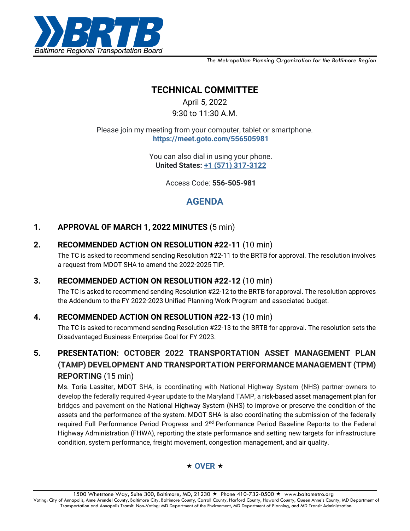

*The Metropolitan Planning Organization for the Baltimore Region*

# **TECHNICAL COMMITTEE**

April 5, 2022 9:30 to 11:30 A.M.

Please join my meeting from your computer, tablet or smartphone. **<https://meet.goto.com/556505981>**

> You can also dial in using your phone. **United States: [+1 \(571\) 317-3122](tel:+15713173122,,556505981)**

> > Access Code: **556-505-981**

# **AGENDA**

### **1. APPROVAL OF MARCH 1, 2022 MINUTES** (5 min)

### **2. RECOMMENDED ACTION ON RESOLUTION #22-11** (10 min)

The TC is asked to recommend sending Resolution #22-11 to the BRTB for approval. The resolution involves a request from MDOT SHA to amend the 2022-2025 TIP.

### **3. RECOMMENDED ACTION ON RESOLUTION #22-12** (10 min)

The TC is asked to recommend sending Resolution #22-12 to the BRTB for approval. The resolution approves the Addendum to the FY 2022-2023 Unified Planning Work Program and associated budget.

## **4. RECOMMENDED ACTION ON RESOLUTION #22-13** (10 min)

The TC is asked to recommend sending Resolution #22-13 to the BRTB for approval. The resolution sets the Disadvantaged Business Enterprise Goal for FY 2023.

# **5. PRESENTATION: OCTOBER 2022 TRANSPORTATION ASSET MANAGEMENT PLAN (TAMP) DEVELOPMENT AND TRANSPORTATION PERFORMANCE MANAGEMENT (TPM) REPORTING** (15 min)

Ms. Toria Lassiter, MDOT SHA, is coordinating with National Highway System (NHS) partner-owners to develop the federally required 4-year update to the Maryland TAMP, a risk-based asset management plan for bridges and pavement on the National Highway System (NHS) to improve or preserve the condition of the assets and the performance of the system. MDOT SHA is also coordinating the submission of the federally required Full Performance Period Progress and 2<sup>nd</sup> Performance Period Baseline Reports to the Federal Highway Administration (FHWA), reporting the state performance and setting new targets for infrastructure condition, system performance, freight movement, congestion management, and air quality.

### $\star$  OVER  $\star$